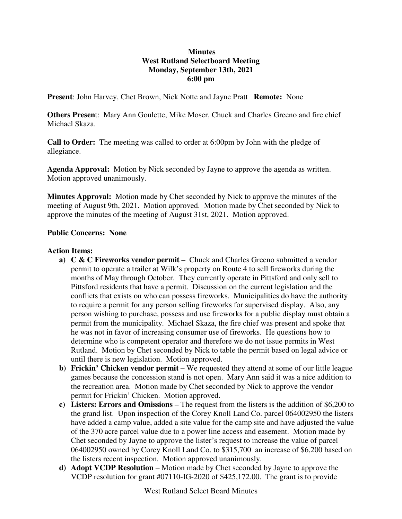# **Minutes West Rutland Selectboard Meeting Monday, September 13th, 2021 6:00 pm**

**Present**: John Harvey, Chet Brown, Nick Notte and Jayne Pratt **Remote:** None

**Others Presen**t: Mary Ann Goulette, Mike Moser, Chuck and Charles Greeno and fire chief Michael Skaza.

**Call to Order:** The meeting was called to order at 6:00pm by John with the pledge of allegiance.

**Agenda Approval:** Motion by Nick seconded by Jayne to approve the agenda as written. Motion approved unanimously.

**Minutes Approval:** Motion made by Chet seconded by Nick to approve the minutes of the meeting of August 9th, 2021. Motion approved. Motion made by Chet seconded by Nick to approve the minutes of the meeting of August 31st, 2021. Motion approved.

## **Public Concerns: None**

### **Action Items:**

- **a) C & C Fireworks vendor permit –** Chuck and Charles Greeno submitted a vendor permit to operate a trailer at Wilk's property on Route 4 to sell fireworks during the months of May through October. They currently operate in Pittsford and only sell to Pittsford residents that have a permit. Discussion on the current legislation and the conflicts that exists on who can possess fireworks. Municipalities do have the authority to require a permit for any person selling fireworks for supervised display. Also, any person wishing to purchase, possess and use fireworks for a public display must obtain a permit from the municipality. Michael Skaza, the fire chief was present and spoke that he was not in favor of increasing consumer use of fireworks. He questions how to determine who is competent operator and therefore we do not issue permits in West Rutland. Motion by Chet seconded by Nick to table the permit based on legal advice or until there is new legislation. Motion approved.
- **b) Frickin' Chicken vendor permit –** We requested they attend at some of our little league games because the concession stand is not open. Mary Ann said it was a nice addition to the recreation area. Motion made by Chet seconded by Nick to approve the vendor permit for Frickin' Chicken. Motion approved.
- **c) Listers: Errors and Omissions –** The request from the listers is the addition of \$6,200 to the grand list. Upon inspection of the Corey Knoll Land Co. parcel 064002950 the listers have added a camp value, added a site value for the camp site and have adjusted the value of the 370 acre parcel value due to a power line access and easement. Motion made by Chet seconded by Jayne to approve the lister's request to increase the value of parcel 064002950 owned by Corey Knoll Land Co. to \$315,700 an increase of \$6,200 based on the listers recent inspection. Motion approved unanimously.
- **d) Adopt VCDP Resolution**  Motion made by Chet seconded by Jayne to approve the VCDP resolution for grant #07110-IG-2020 of \$425,172.00. The grant is to provide